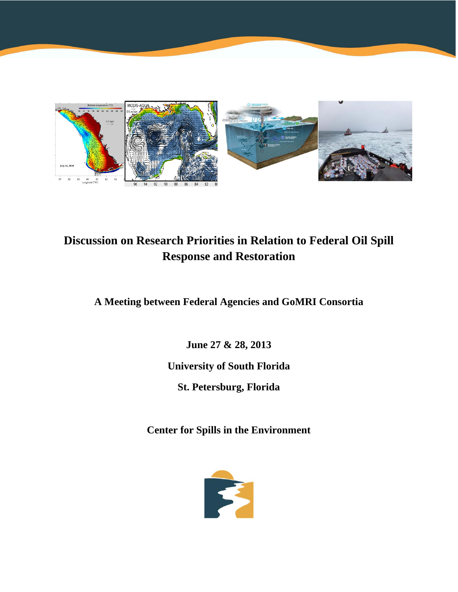

# **Discussion on Research Priorities in Relation to Federal Oil Spill Response and Restoration**

**A Meeting between Federal Agencies and GoMRI Consortia** 

**June 27 & 28, 2013 University of South Florida St. Petersburg, Florida** 

**Center for Spills in the Environment** 

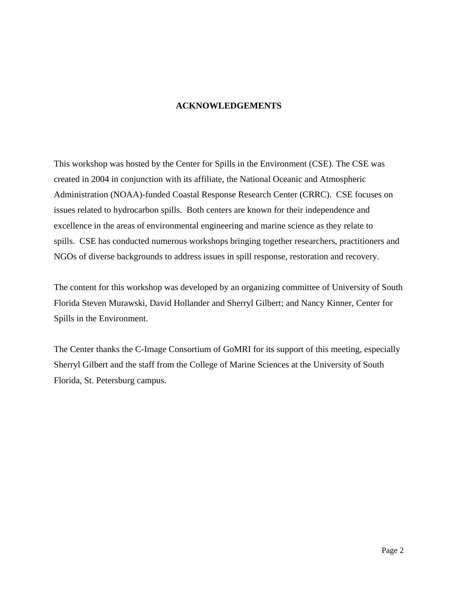#### **ACKNOWLEDGEMENTS**

This workshop was hosted by the Center for Spills in the Environment (CSE). The CSE was created in 2004 in conjunction with its affiliate, the National Oceanic and Atmospheric Administration (NOAA)-funded Coastal Response Research Center (CRRC). CSE focuses on issues related to hydrocarbon spills. Both centers are known for their independence and excellence in the areas of environmental engineering and marine science as they relate to spills. CSE has conducted numerous workshops bringing together researchers, practitioners and NGOs of diverse backgrounds to address issues in spill response, restoration and recovery.

The content for this workshop was developed by an organizing committee of University of South Florida Steven Murawski, David Hollander and Sherryl Gilbert; and Nancy Kinner, Center for Spills in the Environment.

The Center thanks the C-Image Consortium of GoMRI for its support of this meeting, especially Sherryl Gilbert and the staff from the College of Marine Sciences at the University of South Florida, St. Petersburg campus.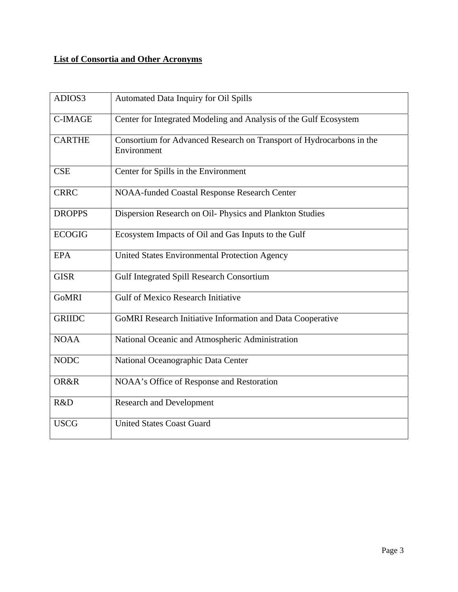# **List of Consortia and Other Acronyms**

| ADIOS3         | Automated Data Inquiry for Oil Spills                                               |
|----------------|-------------------------------------------------------------------------------------|
| <b>C-IMAGE</b> | Center for Integrated Modeling and Analysis of the Gulf Ecosystem                   |
| <b>CARTHE</b>  | Consortium for Advanced Research on Transport of Hydrocarbons in the<br>Environment |
| <b>CSE</b>     | Center for Spills in the Environment                                                |
| <b>CRRC</b>    | <b>NOAA-funded Coastal Response Research Center</b>                                 |
| <b>DROPPS</b>  | Dispersion Research on Oil- Physics and Plankton Studies                            |
| <b>ECOGIG</b>  | Ecosystem Impacts of Oil and Gas Inputs to the Gulf                                 |
| <b>EPA</b>     | United States Environmental Protection Agency                                       |
| <b>GISR</b>    | Gulf Integrated Spill Research Consortium                                           |
| <b>GoMRI</b>   | <b>Gulf of Mexico Research Initiative</b>                                           |
| <b>GRIIDC</b>  | GoMRI Research Initiative Information and Data Cooperative                          |
| <b>NOAA</b>    | National Oceanic and Atmospheric Administration                                     |
| <b>NODC</b>    | National Oceanographic Data Center                                                  |
| OR&R           | NOAA's Office of Response and Restoration                                           |
| R&D            | <b>Research and Development</b>                                                     |
| <b>USCG</b>    | <b>United States Coast Guard</b>                                                    |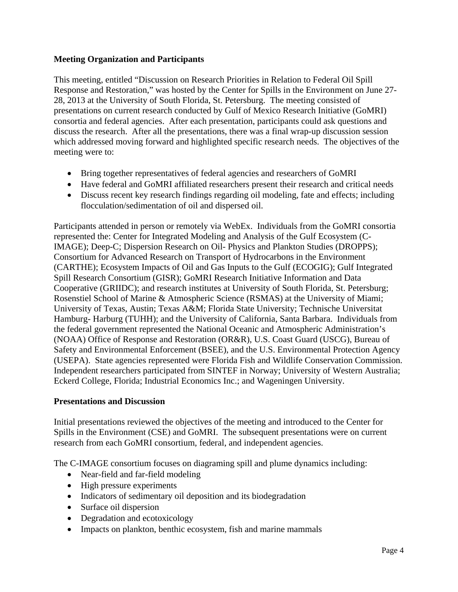# **Meeting Organization and Participants**

This meeting, entitled "Discussion on Research Priorities in Relation to Federal Oil Spill Response and Restoration," was hosted by the Center for Spills in the Environment on June 27- 28, 2013 at the University of South Florida, St. Petersburg. The meeting consisted of presentations on current research conducted by Gulf of Mexico Research Initiative (GoMRI) consortia and federal agencies. After each presentation, participants could ask questions and discuss the research. After all the presentations, there was a final wrap-up discussion session which addressed moving forward and highlighted specific research needs. The objectives of the meeting were to:

- Bring together representatives of federal agencies and researchers of GoMRI
- Have federal and GoMRI affiliated researchers present their research and critical needs
- Discuss recent key research findings regarding oil modeling, fate and effects; including flocculation/sedimentation of oil and dispersed oil.

Participants attended in person or remotely via WebEx. Individuals from the GoMRI consortia represented the: Center for Integrated Modeling and Analysis of the Gulf Ecosystem (C-IMAGE); Deep-C; Dispersion Research on Oil- Physics and Plankton Studies (DROPPS); Consortium for Advanced Research on Transport of Hydrocarbons in the Environment (CARTHE); Ecosystem Impacts of Oil and Gas Inputs to the Gulf (ECOGIG); Gulf Integrated Spill Research Consortium (GISR); GoMRI Research Initiative Information and Data Cooperative (GRIIDC); and research institutes at University of South Florida, St. Petersburg; Rosenstiel School of Marine & Atmospheric Science (RSMAS) at the University of Miami; University of Texas, Austin; Texas A&M; Florida State University; Technische Universitat Hamburg- Harburg (TUHH); and the University of California, Santa Barbara. Individuals from the federal government represented the National Oceanic and Atmospheric Administration's (NOAA) Office of Response and Restoration (OR&R), U.S. Coast Guard (USCG), Bureau of Safety and Environmental Enforcement (BSEE), and the U.S. Environmental Protection Agency (USEPA). State agencies represented were Florida Fish and Wildlife Conservation Commission. Independent researchers participated from SINTEF in Norway; University of Western Australia; Eckerd College, Florida; Industrial Economics Inc.; and Wageningen University.

### **Presentations and Discussion**

Initial presentations reviewed the objectives of the meeting and introduced to the Center for Spills in the Environment (CSE) and GoMRI. The subsequent presentations were on current research from each GoMRI consortium, federal, and independent agencies.

The C-IMAGE consortium focuses on diagraming spill and plume dynamics including:

- Near-field and far-field modeling
- High pressure experiments
- Indicators of sedimentary oil deposition and its biodegradation
- Surface oil dispersion
- Degradation and ecotoxicology
- Impacts on plankton, benthic ecosystem, fish and marine mammals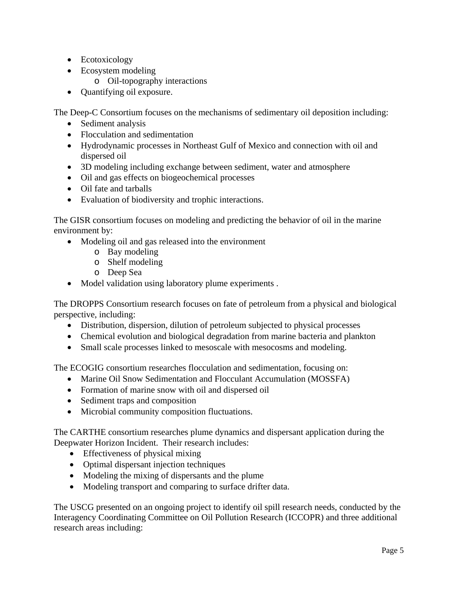- Ecotoxicology
- Ecosystem modeling
	- o Oil-topography interactions
- Quantifying oil exposure.

The Deep-C Consortium focuses on the mechanisms of sedimentary oil deposition including:

- Sediment analysis
- Flocculation and sedimentation
- Hydrodynamic processes in Northeast Gulf of Mexico and connection with oil and dispersed oil
- 3D modeling including exchange between sediment, water and atmosphere
- Oil and gas effects on biogeochemical processes
- Oil fate and tarballs
- Evaluation of biodiversity and trophic interactions.

The GISR consortium focuses on modeling and predicting the behavior of oil in the marine environment by:

- Modeling oil and gas released into the environment
	- o Bay modeling
	- o Shelf modeling
	- o Deep Sea
- Model validation using laboratory plume experiments.

The DROPPS Consortium research focuses on fate of petroleum from a physical and biological perspective, including:

- Distribution, dispersion, dilution of petroleum subjected to physical processes
- Chemical evolution and biological degradation from marine bacteria and plankton
- Small scale processes linked to mesoscale with mesocosms and modeling.

The ECOGIG consortium researches flocculation and sedimentation, focusing on:

- Marine Oil Snow Sedimentation and Flocculant Accumulation (MOSSFA)
- Formation of marine snow with oil and dispersed oil
- Sediment traps and composition
- Microbial community composition fluctuations.

The CARTHE consortium researches plume dynamics and dispersant application during the Deepwater Horizon Incident. Their research includes:

- Effectiveness of physical mixing
- Optimal dispersant injection techniques
- Modeling the mixing of dispersants and the plume
- Modeling transport and comparing to surface drifter data.

The USCG presented on an ongoing project to identify oil spill research needs, conducted by the Interagency Coordinating Committee on Oil Pollution Research (ICCOPR) and three additional research areas including: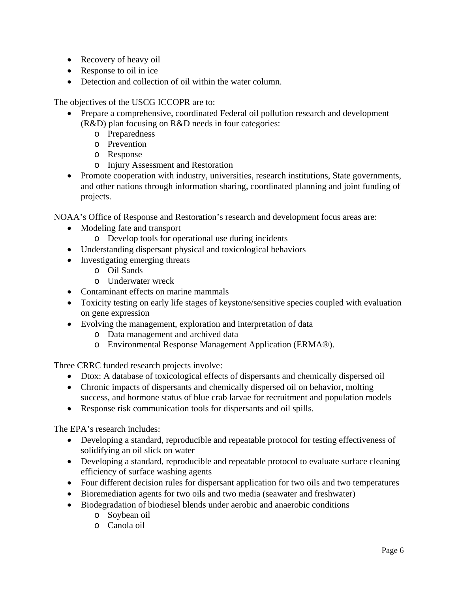- Recovery of heavy oil
- Response to oil in ice
- Detection and collection of oil within the water column.

The objectives of the USCG ICCOPR are to:

- Prepare a comprehensive, coordinated Federal oil pollution research and development (R&D) plan focusing on R&D needs in four categories:
	- o Preparedness
	- o Prevention
	- o Response
	- o Injury Assessment and Restoration
- Promote cooperation with industry, universities, research institutions, State governments, and other nations through information sharing, coordinated planning and joint funding of projects.

NOAA's Office of Response and Restoration's research and development focus areas are:

- Modeling fate and transport
	- o Develop tools for operational use during incidents
- Understanding dispersant physical and toxicological behaviors
- Investigating emerging threats
	- o Oil Sands
	- o Underwater wreck
- Contaminant effects on marine mammals
- Toxicity testing on early life stages of keystone/sensitive species coupled with evaluation on gene expression
- Evolving the management, exploration and interpretation of data
	- o Data management and archived data
	- o Environmental Response Management Application (ERMA®).

Three CRRC funded research projects involve:

- Dtox: A database of toxicological effects of dispersants and chemically dispersed oil
- Chronic impacts of dispersants and chemically dispersed oil on behavior, molting success, and hormone status of blue crab larvae for recruitment and population models
- Response risk communication tools for dispersants and oil spills.

The EPA's research includes:

- Developing a standard, reproducible and repeatable protocol for testing effectiveness of solidifying an oil slick on water
- Developing a standard, reproducible and repeatable protocol to evaluate surface cleaning efficiency of surface washing agents
- Four different decision rules for dispersant application for two oils and two temperatures
- Bioremediation agents for two oils and two media (seawater and freshwater)
- Biodegradation of biodiesel blends under aerobic and anaerobic conditions
	- o Soybean oil
	- o Canola oil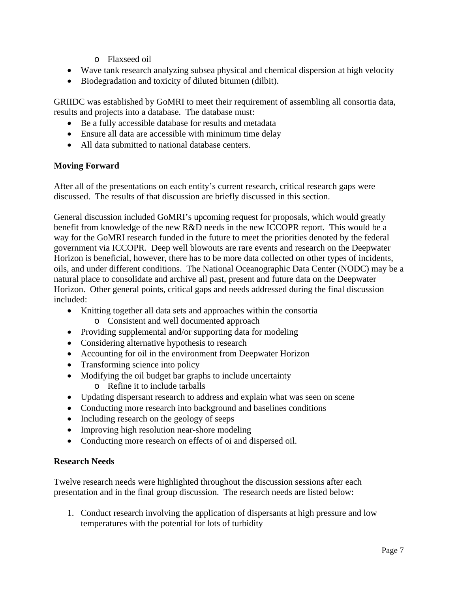- o Flaxseed oil
- Wave tank research analyzing subsea physical and chemical dispersion at high velocity
- Biodegradation and toxicity of diluted bitumen (dilbit).

GRIIDC was established by GoMRI to meet their requirement of assembling all consortia data, results and projects into a database. The database must:

- Be a fully accessible database for results and metadata
- Ensure all data are accessible with minimum time delay
- All data submitted to national database centers.

## **Moving Forward**

After all of the presentations on each entity's current research, critical research gaps were discussed. The results of that discussion are briefly discussed in this section.

General discussion included GoMRI's upcoming request for proposals, which would greatly benefit from knowledge of the new R&D needs in the new ICCOPR report. This would be a way for the GoMRI research funded in the future to meet the priorities denoted by the federal government via ICCOPR. Deep well blowouts are rare events and research on the Deepwater Horizon is beneficial, however, there has to be more data collected on other types of incidents, oils, and under different conditions. The National Oceanographic Data Center (NODC) may be a natural place to consolidate and archive all past, present and future data on the Deepwater Horizon. Other general points, critical gaps and needs addressed during the final discussion included:

- Knitting together all data sets and approaches within the consortia o Consistent and well documented approach
- Providing supplemental and/or supporting data for modeling
- Considering alternative hypothesis to research
- Accounting for oil in the environment from Deepwater Horizon
- Transforming science into policy
- Modifying the oil budget bar graphs to include uncertainty
	- o Refine it to include tarballs
- Updating dispersant research to address and explain what was seen on scene
- Conducting more research into background and baselines conditions
- Including research on the geology of seeps
- Improving high resolution near-shore modeling
- Conducting more research on effects of oi and dispersed oil.

### **Research Needs**

Twelve research needs were highlighted throughout the discussion sessions after each presentation and in the final group discussion. The research needs are listed below:

1. Conduct research involving the application of dispersants at high pressure and low temperatures with the potential for lots of turbidity